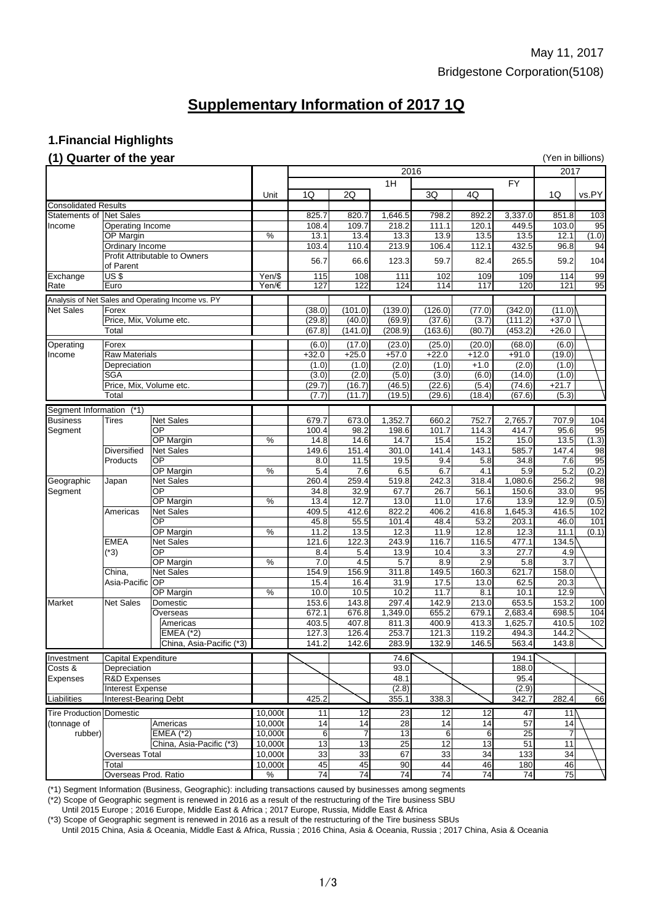### **1.Financial Highlights**

### **(1) Quarter of the year** (Yen in billions)

| $(1)$ when the $\sigma_1$ and $\sigma_2$ |                                      |                                                   |         |                 |                |         |         |         |                 |         |                 |
|------------------------------------------|--------------------------------------|---------------------------------------------------|---------|-----------------|----------------|---------|---------|---------|-----------------|---------|-----------------|
|                                          |                                      |                                                   |         | 2016            |                |         |         |         |                 | 2017    |                 |
|                                          |                                      |                                                   |         | 1H              |                |         |         |         |                 |         |                 |
|                                          |                                      |                                                   | Unit    | 1Q              | 2Q             |         | 3Q      | 4Q      |                 | 1Q      | vs.PY           |
| <b>Consolidated Results</b>              |                                      |                                                   |         |                 |                |         |         |         |                 |         |                 |
|                                          | Statements of Net Sales              |                                                   |         | 825.7           | 820.7          | 1,646.5 | 798.2   | 892.2   | 3,337.0         | 851.8   | 103             |
| Income                                   | Operating Income                     |                                                   |         | 108.4           | 109.7          | 218.2   | 111.1   | 120.1   | 449.5           | 103.0   | 95              |
|                                          | OP Margin                            |                                                   | $\%$    | 13.1            | 13.4           | 13.3    | 13.9    | 13.5    | 13.5            | 12.1    | (1.0)           |
|                                          | Ordinary Income                      |                                                   |         | 103.4           | 110.4          | 213.9   | 106.4   | 112.1   | 432.5           | 96.8    | 94              |
|                                          | <b>Profit Attributable to Owners</b> |                                                   |         |                 |                |         |         |         |                 |         |                 |
|                                          | of Parent                            |                                                   |         | 56.7            | 66.6           | 123.3   | 59.7    | 82.4    | 265.5           | 59.2    | 104             |
| Exchange                                 | <b>US\$</b>                          |                                                   | Yen/\$  | 115             | 108            | 111     | 102     | 109     | 109             | 114     | 99              |
| Rate                                     | Euro                                 |                                                   | Yen/€   | 127             | 122            | 124     | 114     | 117     | 120             | 121     | 95              |
|                                          |                                      | Analysis of Net Sales and Operating Income vs. PY |         |                 |                |         |         |         |                 |         |                 |
| <b>Net Sales</b>                         | Forex                                |                                                   |         | (38.0)          | (101.0)        | (139.0) | (126.0) | (77.0)  | (342.0)         | (11.0)  |                 |
|                                          | Price, Mix, Volume etc.              |                                                   |         | (29.8)          | (40.0)         | (69.9)  | (37.6)  | (3.7)   | (111.2)         | $+37.0$ |                 |
|                                          | Total                                |                                                   |         | (67.8)          | (141.0)        | (208.9) | (163.6) | (80.7)  | (453.2)         | $+26.0$ |                 |
|                                          |                                      |                                                   |         |                 |                |         |         |         |                 |         |                 |
| Operating                                | Forex                                |                                                   |         | (6.0)           | (17.0)         | (23.0)  | (25.0)  | (20.0)  | (68.0)          | (6.0)   |                 |
| Income                                   | <b>Raw Materials</b>                 |                                                   |         | $+32.0$         | $+25.0$        | $+57.0$ | $+22.0$ | $+12.0$ | $+91.0$         | (19.0)  |                 |
|                                          | Depreciation                         |                                                   |         | (1.0)           | (1.0)          | (2.0)   | (1.0)   | $+1.0$  | (2.0)           | (1.0)   |                 |
|                                          | <b>SGA</b>                           |                                                   |         | (3.0)           | (2.0)          | (5.0)   | (3.0)   | (6.0)   | (14.0)          | (1.0)   |                 |
|                                          | Price, Mix, Volume etc.              |                                                   |         | (29.7)          | (16.7)         | (46.5)  | (22.6)  | (5.4)   | (74.6)          | $+21.7$ |                 |
|                                          | Total                                |                                                   |         | (7.7)           | (11.7)         | (19.5)  | (29.6)  | (18.4)  | (67.6)          | (5.3)   |                 |
| Segment Information                      | $(*1)$                               |                                                   |         |                 |                |         |         |         |                 |         |                 |
| <b>Business</b>                          | <b>Tires</b>                         | <b>Net Sales</b>                                  |         | 679.7           | 673.0          | 1,352.7 | 660.2   | 752.7   | 2,765.7         | 707.9   | 104             |
| Segment                                  |                                      | OP                                                |         | 100.4           | 98.2           | 198.6   | 101.7   | 114.3   | 414.7           | 95.6    | 95              |
|                                          |                                      | OP Margin                                         | $\%$    | 14.8            | 14.6           | 14.7    | 15.4    | 15.2    | 15.0            | 13.5    | (1.3)           |
|                                          | <b>Diversified</b>                   | <b>Net Sales</b>                                  |         | 149.6           | 151.4          | 301.0   | 141.4   | 143.1   | 585.7           | 147.4   | 98              |
|                                          | Products                             | <b>OP</b>                                         |         | 8.0             | 11.5           | 19.5    | 9.4     | 5.8     | 34.8            | 7.6     | $\overline{95}$ |
|                                          |                                      | OP Margin                                         | $\%$    | 5.4             | 7.6            | 6.5     | 6.7     | 4.1     | 5.9             | 5.2     | (0.2)           |
| Geographic                               | Japan                                | <b>Net Sales</b>                                  |         | 260.4           | 259.4          | 519.8   | 242.3   | 318.4   | 1,080.6         | 256.2   | 98              |
| Segment                                  |                                      | OP                                                |         | 34.8            | 32.9           | 67.7    | 26.7    | 56.1    | 150.6           | 33.0    | 95              |
|                                          |                                      | <b>OP Margin</b>                                  | $\%$    | 13.4            | 12.7           | 13.0    | 11.0    | 17.6    | 13.9            | 12.9    | (0.5)           |
|                                          | Americas                             | <b>Net Sales</b>                                  |         | 409.5           | 412.6          | 822.2   | 406.2   | 416.8   | 1,645.3         | 416.5   | 102             |
|                                          |                                      | <b>OP</b>                                         |         | 45.8            | 55.5           | 101.4   | 48.4    | 53.2    | 203.1           | 46.0    | 101             |
|                                          |                                      | OP Margin                                         | $\%$    | 11.2            | 13.5           | 12.3    | 11.9    | 12.8    | 12.3            | 11.1    | (0.1)           |
|                                          | <b>EMEA</b>                          | <b>Net Sales</b>                                  |         | 121.6           | 122.3          | 243.9   | 116.7   | 116.5   | 477.1           | 134.5   |                 |
|                                          | $(*3)$                               | <b>OP</b>                                         |         | 8.4             | 5.4            | 13.9    | 10.4    | 3.3     | 27.7            | 4.9     |                 |
|                                          |                                      | OP Margin                                         | $\%$    | 7.0             | 4.5            | 5.7     | 8.9     | 2.9     | 5.8             | 3.7     |                 |
|                                          | China,                               | <b>Net Sales</b>                                  |         | 154.9           | 156.9          | 311.8   | 149.5   | 160.3   | 621.7           | 158.0   |                 |
|                                          | Asia-Pacific                         | <b>OP</b>                                         |         | 15.4            | 16.4           | 31.9    | 17.5    | 13.0    | 62.5            | 20.3    |                 |
|                                          |                                      | OP Margin                                         | $\%$    | 10.0            | 10.5           | 10.2    | 11.7    | 8.1     | 10.1            | 12.9    |                 |
| Market                                   | <b>Net Sales</b>                     | Domestic                                          |         | 153.6           | 143.8          | 297.4   | 142.9   | 213.0   | 653.5           | 153.2   | 100             |
|                                          |                                      | Overseas                                          |         | 672.1           | 676.8          | 1,349.0 | 655.2   | 679.1   | 2,683.4         | 698.5   | 104             |
|                                          |                                      | Americas                                          |         | 403.5           | 407.8          | 811.3   | 400.9   | 413.3   | 1,625.7         | 410.5   | 102             |
|                                          |                                      | EMEA (*2)                                         |         | 127.3           | 126.4          | 253.7   | 121.3   | 119.2   | 494.3           | 144.2   |                 |
|                                          |                                      | China, Asia-Pacific (*3)                          |         | 141.2           | 142.6          | 283.9   | 132.9   | 146.5   | 563.4           | 143.8   |                 |
| Investment                               | <b>Capital Expenditure</b>           |                                                   |         |                 |                | 74.6    |         |         | 194.1           |         |                 |
| Costs &                                  | Depreciation                         |                                                   |         |                 |                | 93.0    |         |         | 188.0           |         |                 |
| <b>Expenses</b>                          | <b>R&amp;D Expenses</b>              |                                                   |         |                 |                | 48.1    |         |         | 95.4            |         |                 |
| Interest Expense                         |                                      |                                                   |         |                 | (2.8)          |         |         | (2.9)   |                 |         |                 |
| Liabilities                              | <b>Interest-Bearing Debt</b>         |                                                   |         | 425.2           |                | 355.1   | 338.3   |         | 342.7           | 282.4   | 66              |
| <b>Tire Production Domestic</b>          |                                      | 10,000t                                           | 11      | 12              | 23             | 12      | 12      | 47      | 11              |         |                 |
| (tonnage of                              |                                      | Americas                                          | 10,000t | 14              | 14             | 28      | 14      | 14      | $\overline{57}$ | 14      |                 |
| rubber)                                  |                                      | $EMEA$ (*2)                                       | 10,000t | 6               | $\overline{7}$ | 13      | 6       | 6       | 25              |         |                 |
|                                          |                                      | China, Asia-Pacific (*3)                          | 10,000t | 13              | 13             | 25      | 12      | 13      | 51              | 11      |                 |
|                                          | <b>Overseas Total</b>                |                                                   | 10,000t | 33              | 33             | 67      | 33      | 34      | 133             | 34      |                 |
|                                          | Total                                |                                                   | 10,000t | 45              | 45             | 90      | 44      | 46      | 180             | 46      |                 |
|                                          | Overseas Prod. Ratio                 |                                                   | $\%$    | $\overline{74}$ | 74             | 74      | 74      | 74      | 74              | 75      |                 |

(\*1) Segment Information (Business, Geographic): including transactions caused by businesses among segments

(\*2) Scope of Geographic segment is renewed in 2016 as a result of the restructuring of the Tire business SBU

Until 2015 Europe ; 2016 Europe, Middle East & Africa ; 2017 Europe, Russia, Middle East & Africa

(\*3) Scope of Geographic segment is renewed in 2016 as a result of the restructuring of the Tire business SBUs Until 2015 China, Asia & Oceania, Middle East & Africa, Russia ; 2016 China, Asia & Oceania, Russia ; 2017 China, Asia & Oceania

# **Supplementary Information of 2017 1Q**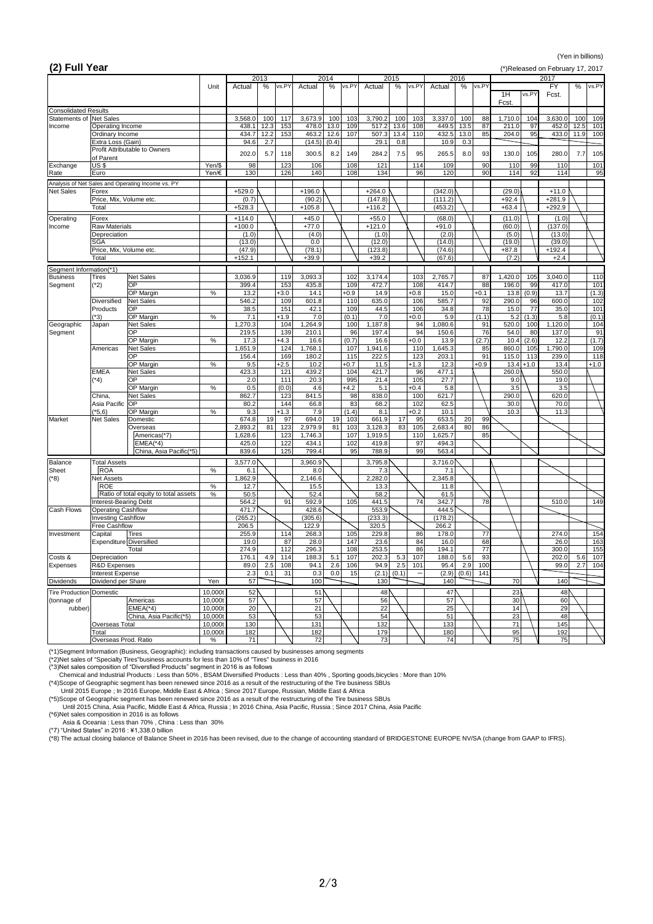### (Yen in billions)

## **(2) Full Year** (\*)Released on February 17, 2017

| $\mathbf{r}$                           |                                             |                                                   |                    |                    | 2013              |                    | 2014     |              |                    | 2015             |                    | 2016     |             |               |              | 2017               |                   |
|----------------------------------------|---------------------------------------------|---------------------------------------------------|--------------------|--------------------|-------------------|--------------------|----------|--------------|--------------------|------------------|--------------------|----------|-------------|---------------|--------------|--------------------|-------------------|
|                                        |                                             |                                                   | Unit               | Actual             | vs.PY<br>%        | Actual             | %        | vs.PY        | Actual             | %<br>vs.PY       | Actual             | %        | vs.PY       | 1H<br>Fcst.   | vs.PY        | <b>FY</b><br>Fcst. | vs.PY<br>%        |
| <b>Consolidated Results</b>            |                                             |                                                   |                    |                    |                   |                    |          |              |                    |                  |                    |          |             |               |              |                    |                   |
| <b>Statements of Net Sales</b>         |                                             |                                                   |                    | 3,568.0            | 100<br>117        | 3,673.9            | 100      | 103          | 3,790.2            | 100<br>103       | 3,337.0            | 100      | 88          | 1,710.0       | 104          | 3,630.0            | 100<br>109        |
| Income                                 | <b>Operating Income</b>                     |                                                   |                    | 438.1              | 12.3<br>153       | 478.0              | 13.0     | 109          | 517.2              | 13.6<br>108      | 449.5              | 13.5     | 87          | 211.0         | 97           | 452.0              | 12.5<br>101       |
|                                        | Ordinary Income                             |                                                   |                    | 434.7              | 12.2<br>153       | 463.2              | 12.6     | 107          | 507.3              | 13.4<br>110      | 432.5              | 13.0     | 85          | 204.0         | 95           | 433.0              | 11.9<br>100       |
|                                        | Extra Loss (Gain)                           | <b>Profit Attributable to Owners</b>              |                    | 94.6               | 2.7               | (14.5)             | (0.4)    |              | 29.1               | 0.8              | 10.9               | 0.3      |             |               |              |                    |                   |
|                                        | of Parent                                   |                                                   |                    | 202.0              | 5.7<br>118        | 300.5              | 8.2      | 149          | 284.2              | 7.5<br>95        | 265.5              | 8.0      | 93          | 130.0         | 105          | 280.0              | 7.7<br>105        |
| Exchange                               | <b>US\$</b>                                 |                                                   | Yen/\$             | 98                 | 123               | 106                |          | 108          | 121                | 114              | 109                |          | 90          | 110           | 99           | 110                | 101               |
| Rate                                   | Euro                                        |                                                   | Yen/€              | 130                | 126               | 140                |          | 108          | 134                | 96               | 120                |          | 90          | 114           | 92           | 114                | 95                |
|                                        |                                             | Analysis of Net Sales and Operating Income vs. PY |                    |                    |                   |                    |          |              |                    |                  |                    |          |             |               |              |                    |                   |
| <b>Net Sales</b>                       | Forex                                       |                                                   |                    | $+529.0$           |                   | $+196.0$           |          |              | $+264.0$           |                  | (342.0)            |          |             | (29.0)        |              | $+11.0$            |                   |
|                                        | Price, Mix, Volume etc.                     |                                                   |                    | (0.7)              |                   | (90.2)             |          |              | (147.8)            |                  | (111.2)            |          |             | $+92.4$       |              | $+281.9$           |                   |
|                                        | Total                                       |                                                   |                    | $+528.3$           |                   | $+105.8$           |          |              | $+116.2$           |                  | (453.2)            |          |             | $+63.4$       |              | $+292.9$           |                   |
| Operating                              | Forex                                       |                                                   |                    | $+114.0$           |                   | $+45.0$            |          |              | $+55.0$            |                  | (68.0)             |          |             | (11.0)        |              | (1.0)              |                   |
| Income                                 | <b>Raw Materials</b>                        |                                                   |                    | $+100.0$           |                   | $+77.0$            |          |              | $+121.0$           |                  | $+91.0$            |          |             | (60.0)        |              | (137.0)            |                   |
|                                        | Depreciation                                |                                                   |                    | (1.0)              |                   | (4.0)              |          |              | (1.0)              |                  | (2.0)              |          |             | (5.0)         |              | (13.0)             |                   |
|                                        | <b>SGA</b>                                  |                                                   |                    | (13.0)             |                   | 0.0                |          |              | (12.0)             |                  | (14.0)             |          |             | (19.0)        |              | (39.0)             |                   |
|                                        | Price, Mix, Volume etc.                     |                                                   |                    | (47.9)             |                   | (78.1)             |          |              | (123.8)            |                  | (74.6)             |          |             | $+87.8$       |              | $+192.4$           |                   |
|                                        | Total                                       |                                                   |                    | $+152.1$           |                   | $+39.9$            |          |              | $+39.2$            |                  | (67.6)             |          |             | (7.2)         |              | $+2.4$             |                   |
| Segment Information(*1)                |                                             |                                                   |                    |                    |                   |                    |          |              |                    |                  |                    |          |             |               |              |                    |                   |
| <b>Business</b>                        | <b>Tires</b>                                | Net Sales                                         |                    | 3,036.9            | 119               | 3,093.3            |          | 102          | 3,174.4            | 103              | 2,765.7            |          | 87          | 1,420.0       | 105          | 3,040.0            | 110               |
| Segment                                | $(*2)$                                      | <b>OP</b>                                         |                    | 399.4              | 153               | 435.8              |          | 109          | 472.7              | 108              | 414.7              |          | 88          | 196.0         | 99           | 417.0              | 101               |
|                                        |                                             | <b>OP Margin</b>                                  | %                  | 13.2               | $+3.0$            | 14.1               |          | $+0.9$       | 14.9               | $+0.8$           | 15.0               |          | $+0.1$      | 13.8          | (0.9)        | 13.7               | (1.3)             |
|                                        | <b>Diversified</b>                          | Net Sales                                         |                    | 546.2              | 109               | 601.8              |          | 110          | 635.0              | 106              | 585.7              |          | 92          | 290.0         | 96           | 600.0              | 102               |
|                                        | Products                                    | <b>OP</b>                                         |                    | 38.5               | 151               | 42.1               |          | 109          | 44.5               | 106              | 34.8               |          | 78          | 15.0          | 77           | 35.0               | 101               |
|                                        | (*3)                                        | <b>OP Margin</b>                                  | $\%$               | 7.1                | $+1.9$            | 7.0                |          | (0.1)        | 7.0                | $+0.0$           | 5.9                |          | (1.1)       | 5.2           | (1.3)        | 5.8                | (0.1)             |
| Geographic                             | Japan                                       | Net Sales                                         |                    | 1,270.3            | 104               | ,264.9             |          | 100          | 1,187.8            | 94               | 1,080.6            |          | 91          | 520.0         | 100          | 1,120.0            | 104               |
| Segment                                |                                             | OP                                                |                    | 219.5              | 139               | 210.1              |          | 96           | 197.4              | 94               | 150.6              |          | 76          | 54.0          | 80           | 137.0              | 91                |
|                                        | Americas                                    | OP Margin<br>Net Sales                            | $\%$               | 17.3<br>1,651.9    | $+4.3$<br>124     | 16.6<br>,768.1     |          | (0.7)<br>107 | 16.6<br>1,941.6    | $+0.0$<br>110    | 13.9<br>,645.3     |          | (2.7)<br>85 | 10.4<br>860.0 | (2.6)<br>105 | 12.2<br>,790.0     | (1.7)<br>109      |
|                                        |                                             | <b>OP</b>                                         |                    | 156.4              | 169               | 180.2              |          | 115          | 222.5              | 123              | 203.1              |          | 91          | 115.0         | 113          | 239.0              | 118               |
|                                        |                                             | OP Margin                                         | $\%$               | 9.5                | $+2.5$            | 10.2               |          | $+0.7$       | 11.5               | $+1.3$           | 12.3               |          | $+0.9$      |               | $13.4 + 1.0$ | 13.4               | $+1.0$            |
|                                        | <b>EMEA</b>                                 | Net Sales                                         |                    | 423.3              | 121               | 439.2              |          | 104          | 421.7              | 96               | 477.1              |          |             | 260.0         |              | 550.0              |                   |
|                                        | $(*4)$                                      | <b>OP</b>                                         |                    | 2.0                | 111               | 20.3               |          | 995          | 21.4               | 105              | 27.7               |          |             | 9.0           |              | 19.0               |                   |
|                                        |                                             | OP Margin                                         | $\%$               | 0.5                | (0.0)             | 4.6                |          | $+4.2$       | 5.1                | $+0.4$           | 5.8                |          |             | 3.5           |              | 3.5                |                   |
|                                        | China,                                      | Net Sales                                         |                    | 862.7              | 123               | 841.5              |          | 98           | 838.0              | 100              | 621.7              |          |             | 290.0         |              | 620.0              |                   |
|                                        | Asia Pacific OP                             |                                                   |                    | 80.2               | 144               | 66.8               |          | 83           | 68.2               | 102              | 62.5               |          |             | 30.0          |              | 70.0               |                   |
|                                        | $(*5,6)$                                    | <b>OP Margin</b>                                  | $\%$               | 9.3                | $+1.3$            | 7.9                |          | (1.4)        | 8.1                | $+0.2$           | 10.1               |          |             | 10.3          |              | 11.3               |                   |
| <b>Market</b>                          | <b>Net Sales</b>                            | Domestic                                          |                    | 674.8              | 97<br>19          | 694.0              | 19<br>81 | 103          | 661.9              | 17<br>95         | 653.5              | 20<br>80 | 99          |               |              |                    |                   |
|                                        |                                             | Overseas<br>Americas(*7)                          |                    | 2,893.2<br>1,628.6 | 81<br>123<br>123  | 2,979.9<br>1,746.3 |          | 103<br>107   | 3,128.3<br>1,919.5 | 83<br>105<br>110 | 2,683.4<br>1,625.7 |          | 86<br>85    |               |              |                    |                   |
|                                        |                                             | $EMEA(*4)$                                        |                    | 425.0              | 122               | 434.1              |          | 102          | 419.8              | 97               | 494.3              |          |             |               |              |                    |                   |
|                                        |                                             | China, Asia Pacific(*5)                           |                    | 839.6              | 125               | 799.4              |          | 95           | 788.9              | 99               | 563.4              |          |             |               |              |                    |                   |
|                                        |                                             |                                                   |                    |                    |                   |                    |          |              |                    |                  |                    |          |             |               |              |                    |                   |
| <b>Balance</b><br><b>Sheet</b>         | <b>Total Assets</b><br><b>ROA</b>           |                                                   | %                  | 3,577.0<br>6.1     |                   | 3,960.9<br>8.0     |          |              | 3,795.8<br>7.3     |                  | 3,716.0<br>7.1     |          |             |               |              |                    |                   |
| $(*8)$                                 | <b>Net Assets</b>                           |                                                   |                    | 1,862.9            |                   | 2,146.6            |          |              | 2,282.0            |                  | 2,345.8            |          |             |               |              |                    |                   |
|                                        | <b>ROE</b>                                  |                                                   | $\%$               | 12.7               |                   | 15.5               |          |              | 13.3               |                  | 11.8               |          |             |               |              |                    |                   |
|                                        |                                             | Ratio of total equity to total assets             | $\%$               | 50.5               |                   | 52.4               |          |              | 58.2               |                  | 61.5               |          |             |               |              |                    |                   |
|                                        | Interest-Bearing Debt                       |                                                   |                    | 564.2              | 91                | 592.9              |          | 105          | 441.5              | 74               | 342.7              |          | 78          |               |              | 510.0              | 149               |
| <b>Cash Flows</b>                      | <b>Operating Cashflow</b>                   |                                                   |                    | 471.7              |                   | 428.6              |          |              | 553.9              |                  | 444.5              |          |             |               |              |                    |                   |
|                                        | <b>Investing Cashflow</b>                   |                                                   |                    | (265.2)            |                   | (305.6)            |          |              | (233.3)            |                  | (178.2)            |          |             |               |              |                    |                   |
|                                        | <b>Free Cashflow</b>                        |                                                   |                    | 206.5              |                   | 122.9              |          |              | 320.5              |                  | 266.2              |          |             |               |              |                    |                   |
| Investment                             | Capital                                     | <b>Tires</b>                                      |                    | 255.9              | 114               | 268.3              |          | 105          | 229.8              | 86               | 178.0              |          | 77          |               |              | 274.0              | 154               |
|                                        | Expenditure Diversified                     |                                                   |                    | 19.0               | 87                | 28.0               |          | 147          | 23.6               | 84               | 16.0               |          | 68<br>77    |               |              | 26.0               | 163               |
| Costs &                                | Depreciation                                | Total                                             |                    | 274.9<br>176.1     | 112<br>4.9<br>114 | 296.3<br>188.3     | 5.1      | 108<br>107   | 253.5<br>202.3     | 86<br>5.3<br>107 | 194.1<br>188.0     | 5.6      | 93          |               |              | 300.0<br>202.0     | 155<br>107<br>5.6 |
| Expenses                               | <b>R&amp;D Expenses</b>                     |                                                   |                    | 89.0               | 2.5<br>108        | 94.1               | 2.6      | 106          | 94.9               | 2.5<br>101       | 95.4               | 2.9      | 100         |               |              | 99.0               | 2.7<br>104        |
| Interest Expense                       |                                             |                                                   |                    | 2.3                | 31<br>0.1         | 0.3                | 0.0      | 15           | (2.1)              | (0.1)            | (2.9)              | (0.6)    | 141         |               |              |                    |                   |
| <b>Dividends</b><br>Dividend per Share |                                             | Yen                                               | 57                 |                    | 100               |                    |          | 130          |                    | 140              |                    |          | 70          |               | 140          |                    |                   |
|                                        |                                             |                                                   |                    |                    |                   |                    |          |              |                    |                  |                    |          |             |               |              |                    |                   |
| (tonnage of                            | <b>Tire Production Domestic</b><br>Americas |                                                   | 10,000t<br>10,000t | 52<br>57           |                   | 51<br>57           |          |              | 48<br>56           |                  | 47<br>57           |          |             | 23<br>30      |              | 48<br>60           |                   |
| rubber)                                |                                             | $EMEA(*4)$                                        | 10,000t            | 20                 |                   | 21                 |          |              | 22                 |                  | 25                 |          |             | 14            |              | 29                 |                   |
|                                        |                                             | China, Asia Pacific(*5)                           | 10,000t            | 53                 |                   | 53                 |          |              | 54                 |                  | 51                 |          |             | 23            |              | 48                 |                   |
|                                        | Overseas Total                              |                                                   | 10,000t            | 130                |                   | 131                |          |              | 132                |                  | 133                |          |             | 71            |              | 145                |                   |
|                                        | Total                                       |                                                   | 10,000t            | 182                |                   | 182                |          |              | 179                |                  | 180                |          |             | 95            |              | 192                |                   |
|                                        | Overseas Prod. Ratio                        |                                                   | %                  | 71                 |                   | 72                 |          |              | 73                 |                  | 74                 |          |             | 75            |              | 75                 |                   |

(\*1)Segment Information (Business, Geographic): including transactions caused by businesses among segments

(\*2)Net sales of "Specialty Tires"business accounts for less than 10% of "Tires" business in 2016

(\*3)Net sales composition of "Diversfied Products" segment in 2016 is as follows

Chemical and Industrial Products : Less than 50% , BSAM Diversified Products : Less than 40% , Sporting goods,bicycles : More than 10%

(\*4)Scope of Geographic segment has been renewed since 2016 as a result of the restructuring of the Tire business SBUs

Until 2015 Europe ; In 2016 Europe, Middle East & Africa ; Since 2017 Europe, Russian, Middle East & Africa

(\*5)Scope of Geographic segment has been renewed since 2016 as a result of the restructuring of the Tire business SBUs

Until 2015 China, Asia Pacific, Middle East & Africa, Russia ; In 2016 China, Asia Pacific, Russia ; Since 2017 China, Asia Pacific

(\*6)Net sales composition in 2016 is as follows

Asia & Oceania : Less than 70% , China : Less than 30%

(\*7) "United States" in 2016 : ¥1,338.0 billion

(\*8) The actual closing balance of Balance Sheet in 2016 has been revised, due to the change of accounting standard of BRIDGESTONE EUROPE NV/SA (change from GAAP to IFRS).